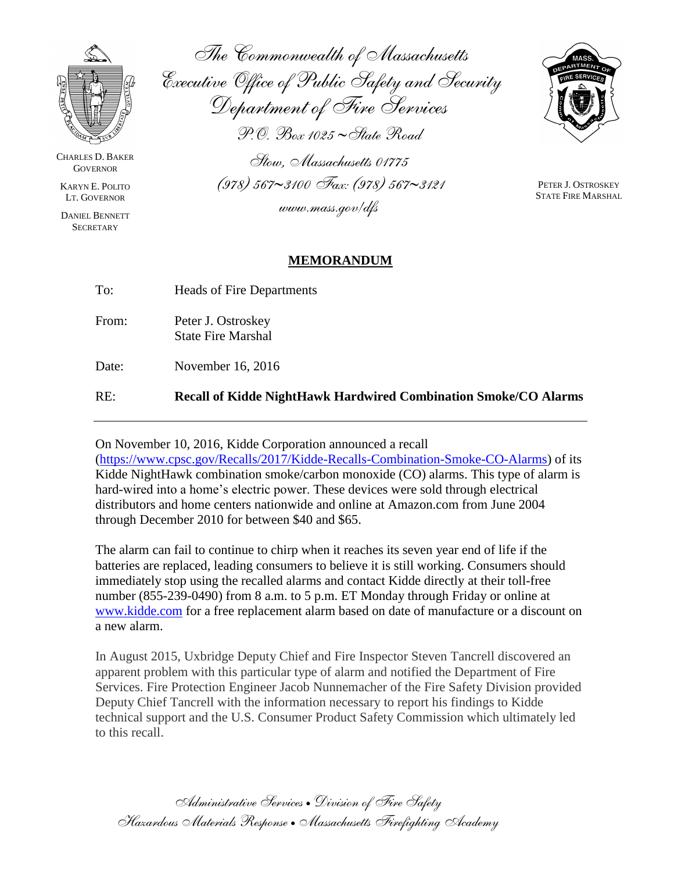

CHARLES D. BAKER **GOVERNOR** 

KARYN E. POLITO LT. GOVERNOR

DANIEL BENNETT **SECRETARY** 

*The Commonwealth of Massachusetts Executive Office of Public Safety and Security Department of Fire Services P.O. Box 1025 State Road*

*Stow, Massachusetts 01775 (978) 5673100 Fax: (978) 5673121 www.mass.gov/dfs*



PETER J. OSTROSKEY STATE FIRE MARSHAL

## **MEMORANDUM**

| RE:   | <b>Recall of Kidde NightHawk Hardwired Combination Smoke/CO Alarms</b> |
|-------|------------------------------------------------------------------------|
| Date: | November 16, 2016                                                      |
| From: | Peter J. Ostroskey<br><b>State Fire Marshal</b>                        |
| To:   | Heads of Fire Departments                                              |

On November 10, 2016, Kidde Corporation announced a recall

[\(https://www.cpsc.gov/Recalls/2017/Kidde-Recalls-Combination-Smoke-CO-Alarms\)](https://www.cpsc.gov/Recalls/2017/Kidde-Recalls-Combination-Smoke-CO-Alarms) of its Kidde NightHawk combination smoke/carbon monoxide (CO) alarms. This type of alarm is hard-wired into a home's electric power. These devices were sold through electrical distributors and home centers nationwide and online at Amazon.com from June 2004 through December 2010 for between \$40 and \$65.

The alarm can fail to continue to chirp when it reaches its seven year end of life if the batteries are replaced, leading consumers to believe it is still working. Consumers should immediately stop using the recalled alarms and contact Kidde directly at their toll-free number (855-239-0490) from 8 a.m. to 5 p.m. ET Monday through Friday or online at [www.kidde.com](http://www.kidde.com/) for a free replacement alarm based on date of manufacture or a discount on a new alarm.

In August 2015, Uxbridge Deputy Chief and Fire Inspector Steven Tancrell discovered an apparent problem with this particular type of alarm and notified the Department of Fire Services. Fire Protection Engineer Jacob Nunnemacher of the Fire Safety Division provided Deputy Chief Tancrell with the information necessary to report his findings to Kidde technical support and the U.S. Consumer Product Safety Commission which ultimately led to this recall.

*Administrative Services Division of Fire Safety Hazardous Materials Response Massachusetts Firefighting Academy*